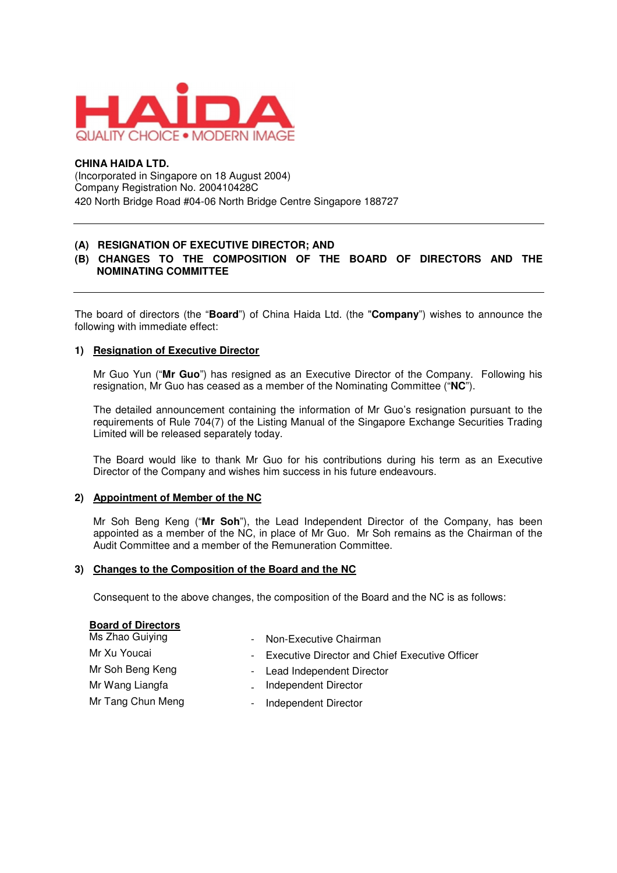

### **CHINA HAIDA LTD.**

(Incorporated in Singapore on 18 August 2004) Company Registration No. 200410428C 420 North Bridge Road #04-06 North Bridge Centre Singapore 188727

## **(A) RESIGNATION OF EXECUTIVE DIRECTOR; AND**

## **(B) CHANGES TO THE COMPOSITION OF THE BOARD OF DIRECTORS AND THE NOMINATING COMMITTEE**

The board of directors (the "**Board**") of China Haida Ltd. (the "**Company**") wishes to announce the following with immediate effect:

#### **1) Resignation of Executive Director**

Mr Guo Yun ("**Mr Guo**") has resigned as an Executive Director of the Company. Following his resignation, Mr Guo has ceased as a member of the Nominating Committee ("**NC**").

The detailed announcement containing the information of Mr Guo's resignation pursuant to the requirements of Rule 704(7) of the Listing Manual of the Singapore Exchange Securities Trading Limited will be released separately today.

The Board would like to thank Mr Guo for his contributions during his term as an Executive Director of the Company and wishes him success in his future endeavours.

#### **2) Appointment of Member of the NC**

Mr Soh Beng Keng ("**Mr Soh**"), the Lead Independent Director of the Company, has been appointed as a member of the NC, in place of Mr Guo. Mr Soh remains as the Chairman of the Audit Committee and a member of the Remuneration Committee.

#### **3) Changes to the Composition of the Board and the NC**

Consequent to the above changes, the composition of the Board and the NC is as follows:

| <b>Board of Directors</b> |                                                  |
|---------------------------|--------------------------------------------------|
| Ms Zhao Guiying           | - Non-Executive Chairman                         |
| Mr Xu Youcai              | - Executive Director and Chief Executive Officer |
| Mr Soh Beng Keng          | - Lead Independent Director                      |
| Mr Wang Liangfa           | Independent Director                             |
| Mr Tang Chun Meng         | Independent Director                             |
|                           |                                                  |